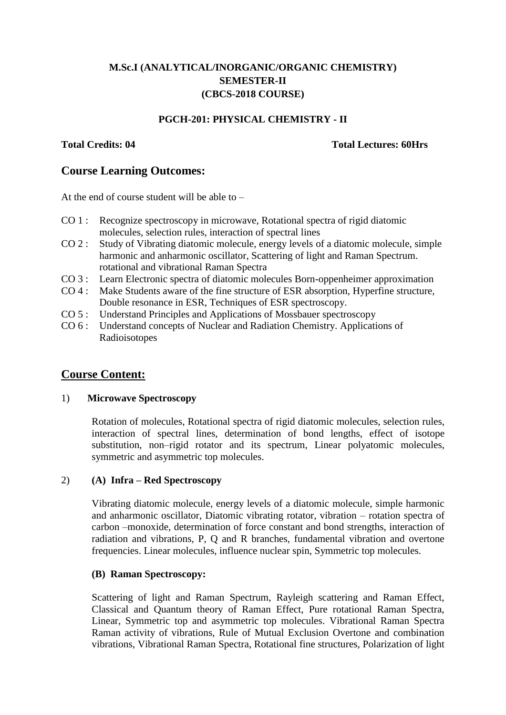# **M.Sc.I (ANALYTICAL/INORGANIC/ORGANIC CHEMISTRY) SEMESTER-II (CBCS-2018 COURSE)**

## **PGCH-201: PHYSICAL CHEMISTRY - II**

#### **Total Credits: 04 Total Lectures: 60Hrs**

## **Course Learning Outcomes:**

At the end of course student will be able to  $-$ 

- CO 1 : Recognize spectroscopy in microwave, Rotational spectra of rigid diatomic molecules, selection rules, interaction of spectral lines
- CO 2 : Study of Vibrating diatomic molecule, energy levels of a diatomic molecule, simple harmonic and anharmonic oscillator, Scattering of light and Raman Spectrum. rotational and vibrational Raman Spectra
- CO 3 : Learn Electronic spectra of diatomic molecules Born-oppenheimer approximation
- CO 4 : Make Students aware of the fine structure of ESR absorption, Hyperfine structure, Double resonance in ESR, Techniques of ESR spectroscopy.
- CO 5 : Understand Principles and Applications of Mossbauer spectroscopy
- CO 6 : Understand concepts of Nuclear and Radiation Chemistry. Applications of Radioisotopes

# **Course Content:**

#### 1) **Microwave Spectroscopy**

Rotation of molecules, Rotational spectra of rigid diatomic molecules, selection rules, interaction of spectral lines, determination of bond lengths, effect of isotope substitution, non–rigid rotator and its spectrum, Linear polyatomic molecules, symmetric and asymmetric top molecules.

## 2) **(A) Infra – Red Spectroscopy**

Vibrating diatomic molecule, energy levels of a diatomic molecule, simple harmonic and anharmonic oscillator, Diatomic vibrating rotator, vibration – rotation spectra of carbon –monoxide, determination of force constant and bond strengths, interaction of radiation and vibrations, P, Q and R branches, fundamental vibration and overtone frequencies. Linear molecules, influence nuclear spin, Symmetric top molecules.

#### **(B) Raman Spectroscopy:**

Scattering of light and Raman Spectrum, Rayleigh scattering and Raman Effect, Classical and Quantum theory of Raman Effect, Pure rotational Raman Spectra, Linear, Symmetric top and asymmetric top molecules. Vibrational Raman Spectra Raman activity of vibrations, Rule of Mutual Exclusion Overtone and combination vibrations, Vibrational Raman Spectra, Rotational fine structures, Polarization of light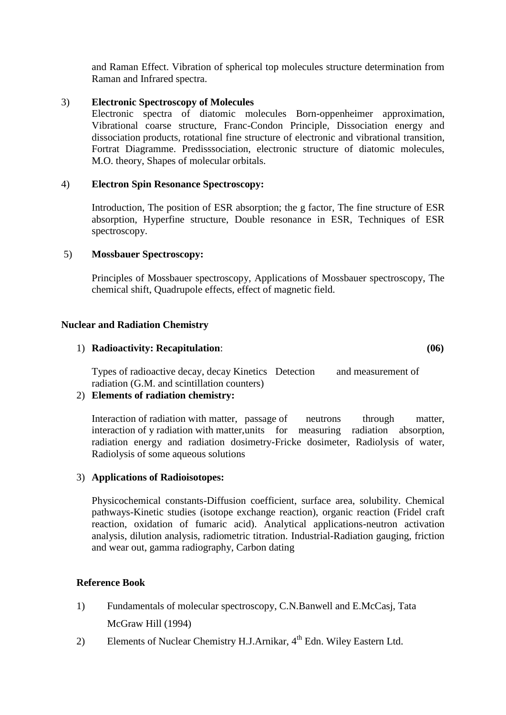and Raman Effect. Vibration of spherical top molecules structure determination from Raman and Infrared spectra.

#### 3) **Electronic Spectroscopy of Molecules**

Electronic spectra of diatomic molecules Born-oppenheimer approximation, Vibrational coarse structure, Franc-Condon Principle, Dissociation energy and dissociation products, rotational fine structure of electronic and vibrational transition, Fortrat Diagramme. Predisssociation, electronic structure of diatomic molecules, M.O. theory, Shapes of molecular orbitals.

## 4) **Electron Spin Resonance Spectroscopy:**

Introduction, The position of ESR absorption; the g factor, The fine structure of ESR absorption, Hyperfine structure, Double resonance in ESR, Techniques of ESR spectroscopy.

#### 5) **Mossbauer Spectroscopy:**

Principles of Mossbauer spectroscopy, Applications of Mossbauer spectroscopy, The chemical shift, Quadrupole effects, effect of magnetic field.

#### **Nuclear and Radiation Chemistry**

#### 1) **Radioactivity: Recapitulation**: **(06)**

Types of radioactive decay, decay Kinetics Detection and measurement of radiation (G.M. and scintillation counters)

## 2) **Elements of radiation chemistry:**

Interaction of radiation with matter, passage of neutrons through matter, interaction of y radiation with matter,units for measuring radiation absorption, radiation energy and radiation dosimetry-Fricke dosimeter, Radiolysis of water, Radiolysis of some aqueous solutions

#### 3) **Applications of Radioisotopes:**

Physicochemical constants-Diffusion coefficient, surface area, solubility. Chemical pathways-Kinetic studies (isotope exchange reaction), organic reaction (Fridel craft reaction, oxidation of fumaric acid). Analytical applications-neutron activation analysis, dilution analysis, radiometric titration. Industrial-Radiation gauging, friction and wear out, gamma radiography, Carbon dating

## **Reference Book**

- 1) Fundamentals of molecular spectroscopy, C.N.Banwell and E.McCasj, Tata McGraw Hill (1994)
- 2) Elements of Nuclear Chemistry H.J.Arnikar, 4<sup>th</sup> Edn. Wiley Eastern Ltd.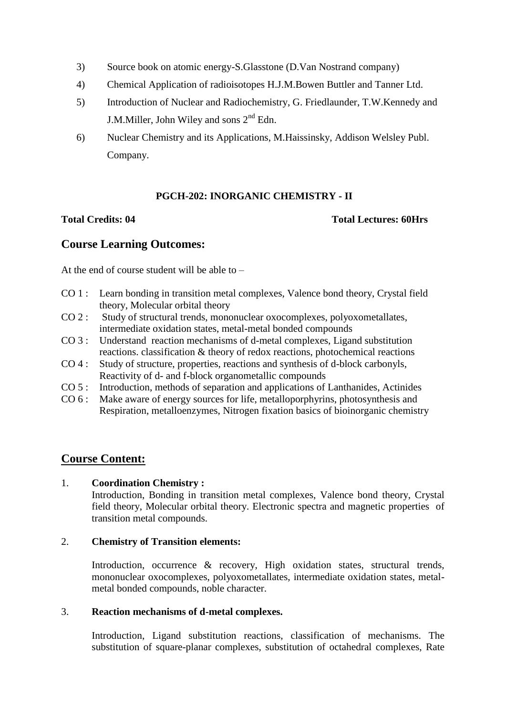- 3) Source book on atomic energy-S.Glasstone (D.Van Nostrand company)
- 4) Chemical Application of radioisotopes H.J.M.Bowen Buttler and Tanner Ltd.
- 5) Introduction of Nuclear and Radiochemistry, G. Friedlaunder, T.W.Kennedy and J.M.Miller, John Wiley and sons  $2<sup>nd</sup>$  Edn.
- 6) Nuclear Chemistry and its Applications, M.Haissinsky, Addison Welsley Publ. Company.

# **PGCH-202: INORGANIC CHEMISTRY - II**

#### **Total Credits: 04 Total Lectures: 60Hrs**

# **Course Learning Outcomes:**

At the end of course student will be able to  $-$ 

- CO 1 : Learn bonding in transition metal complexes, Valence bond theory, Crystal field theory, Molecular orbital theory
- CO 2 : Study of structural trends, mononuclear oxocomplexes, polyoxometallates, intermediate oxidation states, metal-metal bonded compounds
- CO 3 : Understand reaction mechanisms of d-metal complexes, Ligand substitution reactions. classification & theory of redox reactions, photochemical reactions
- CO 4 : Study of structure, properties, reactions and synthesis of d-block carbonyls, Reactivity of d- and f-block organometallic compounds
- CO 5 : Introduction, methods of separation and applications of Lanthanides, Actinides
- CO 6 : Make aware of energy sources for life, metalloporphyrins, photosynthesis and Respiration, metalloenzymes, Nitrogen fixation basics of bioinorganic chemistry

# **Course Content:**

## 1. **Coordination Chemistry :**

Introduction, Bonding in transition metal complexes, Valence bond theory, Crystal field theory, Molecular orbital theory. Electronic spectra and magnetic properties of transition metal compounds.

## 2. **Chemistry of Transition elements:**

Introduction, occurrence & recovery, High oxidation states, structural trends, mononuclear oxocomplexes, polyoxometallates, intermediate oxidation states, metalmetal bonded compounds, noble character.

## 3. **Reaction mechanisms of d-metal complexes.**

Introduction, Ligand substitution reactions, classification of mechanisms. The substitution of square-planar complexes, substitution of octahedral complexes, Rate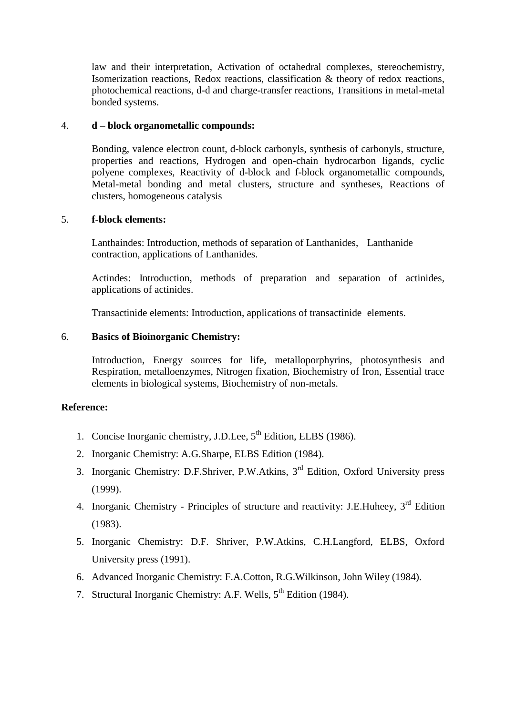law and their interpretation, Activation of octahedral complexes, stereochemistry, Isomerization reactions, Redox reactions, classification & theory of redox reactions, photochemical reactions, d-d and charge-transfer reactions, Transitions in metal-metal bonded systems.

#### 4. **d – block organometallic compounds:**

Bonding, valence electron count, d-block carbonyls, synthesis of carbonyls, structure, properties and reactions, Hydrogen and open-chain hydrocarbon ligands, cyclic polyene complexes, Reactivity of d-block and f-block organometallic compounds, Metal-metal bonding and metal clusters, structure and syntheses, Reactions of clusters, homogeneous catalysis

#### 5. **f-block elements:**

Lanthaindes: Introduction, methods of separation of Lanthanides, Lanthanide contraction, applications of Lanthanides.

Actindes: Introduction, methods of preparation and separation of actinides, applications of actinides.

Transactinide elements: Introduction, applications of transactinide elements.

#### 6. **Basics of Bioinorganic Chemistry:**

Introduction, Energy sources for life, metalloporphyrins, photosynthesis and Respiration, metalloenzymes, Nitrogen fixation, Biochemistry of Iron, Essential trace elements in biological systems, Biochemistry of non-metals.

## **Reference:**

- 1. Concise Inorganic chemistry, J.D.Lee, 5<sup>th</sup> Edition, ELBS (1986).
- 2. Inorganic Chemistry: A.G.Sharpe, ELBS Edition (1984).
- 3. Inorganic Chemistry: D.F.Shriver, P.W.Atkins, 3rd Edition, Oxford University press (1999).
- 4. Inorganic Chemistry Principles of structure and reactivity: J.E.Huheey, 3<sup>rd</sup> Edition (1983).
- 5. Inorganic Chemistry: D.F. Shriver, P.W.Atkins, C.H.Langford, ELBS, Oxford University press (1991).
- 6. Advanced Inorganic Chemistry: F.A.Cotton, R.G.Wilkinson, John Wiley (1984).
- 7. Structural Inorganic Chemistry: A.F. Wells, 5<sup>th</sup> Edition (1984).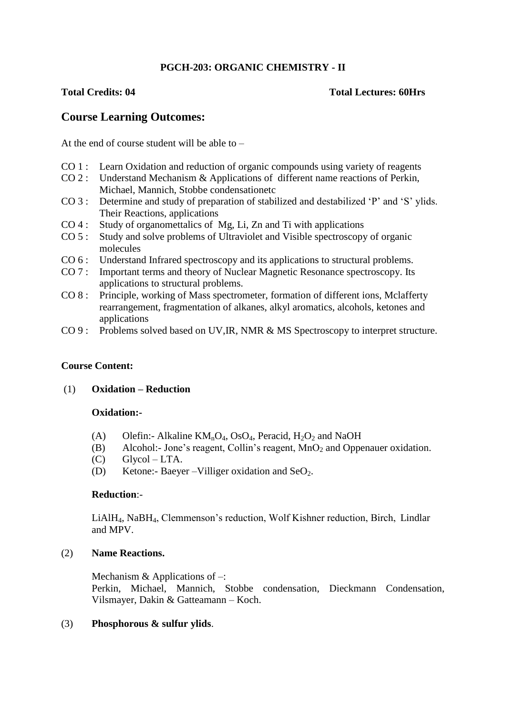## **PGCH-203: ORGANIC CHEMISTRY - II**

#### **Total Credits: 04 Total Lectures: 60Hrs**

# **Course Learning Outcomes:**

At the end of course student will be able to –

- CO 1 : Learn Oxidation and reduction of organic compounds using variety of reagents
- CO 2 : Understand Mechanism & Applications of different name reactions of Perkin, Michael, Mannich, Stobbe condensationetc
- CO 3 : Determine and study of preparation of stabilized and destabilized 'P' and 'S' ylids. Their Reactions, applications
- CO 4 : Study of organomettalics of Mg, Li, Zn and Ti with applications
- CO 5 : Study and solve problems of Ultraviolet and Visible spectroscopy of organic molecules
- CO 6 : Understand Infrared spectroscopy and its applications to structural problems.
- CO 7 : Important terms and theory of Nuclear Magnetic Resonance spectroscopy. Its applications to structural problems.
- CO 8 : Principle, working of Mass spectrometer, formation of different ions, Mclafferty rearrangement, fragmentation of alkanes, alkyl aromatics, alcohols, ketones and applications
- CO 9 : Problems solved based on UV,IR, NMR & MS Spectroscopy to interpret structure.

## **Course Content:**

#### (1) **Oxidation – Reduction**

#### **Oxidation:-**

- (A) Olefin:- Alkaline  $KM_nO_4$ , OsO<sub>4</sub>, Peracid, H<sub>2</sub>O<sub>2</sub> and NaOH
- (B) Alcohol:- Jone's reagent, Collin's reagent,  $MnO<sub>2</sub>$  and Oppenauer oxidation.
- $(C)$  Glycol LTA.
- (D) Ketone:- Baeyer –Villiger oxidation and SeO<sub>2</sub>.

#### **Reduction**:-

LiAlH4, NaBH4, Clemmenson's reduction, Wolf Kishner reduction, Birch, Lindlar and MPV.

#### (2) **Name Reactions.**

Mechanism & Applications of –: Perkin, Michael, Mannich, Stobbe condensation, Dieckmann Condensation, Vilsmayer, Dakin & Gatteamann – Koch.

#### (3) **Phosphorous & sulfur ylids**.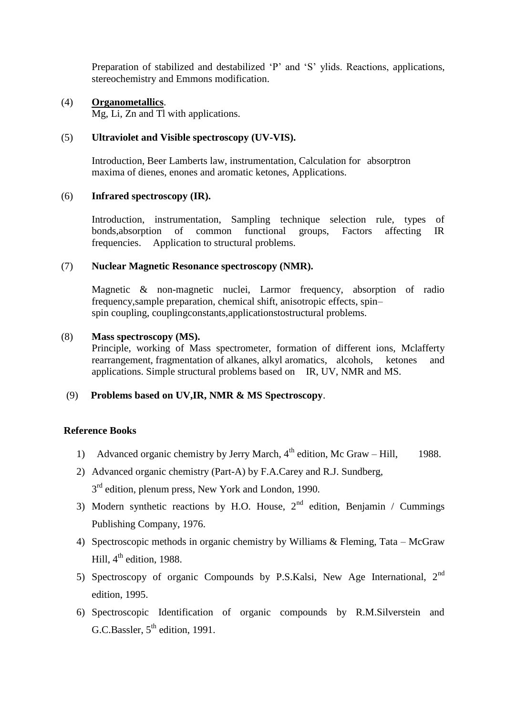Preparation of stabilized and destabilized 'P' and 'S' ylids. Reactions, applications, stereochemistry and Emmons modification.

#### (4) **Organometallics**.

Mg, Li, Zn and Tl with applications.

#### (5) **Ultraviolet and Visible spectroscopy (UV-VIS).**

Introduction, Beer Lamberts law, instrumentation, Calculation for absorptron maxima of dienes, enones and aromatic ketones, Applications.

#### (6) **Infrared spectroscopy (IR).**

Introduction, instrumentation, Sampling technique selection rule, types of bonds.absorption of common functional groups, Factors affecting IR bonds,absorption of common functional groups, Factors affecting IR frequencies. Application to structural problems.

#### (7) **Nuclear Magnetic Resonance spectroscopy (NMR).**

Magnetic & non-magnetic nuclei, Larmor frequency, absorption of radio frequency,sample preparation, chemical shift, anisotropic effects, spin– spin coupling, couplingconstants,applicationstostructural problems.

#### (8) **Mass spectroscopy (MS).**

Principle, working of Mass spectrometer, formation of different ions, Mclafferty rearrangement, fragmentation of alkanes, alkyl aromatics, alcohols, ketones and applications. Simple structural problems based on IR, UV, NMR and MS.

#### (9) **Problems based on UV,IR, NMR & MS Spectroscopy**.

#### **Reference Books**

- 1) Advanced organic chemistry by Jerry March,  $4<sup>th</sup>$  edition, Mc Graw Hill, 1988.
- 2) Advanced organic chemistry (Part-A) by F.A.Carey and R.J. Sundberg, 3<sup>rd</sup> edition, plenum press, New York and London, 1990.
- 3) Modern synthetic reactions by H.O. House,  $2<sup>nd</sup>$  edition, Benjamin / Cummings Publishing Company, 1976.
- 4) Spectroscopic methods in organic chemistry by Williams & Fleming, Tata McGraw Hill,  $4<sup>th</sup>$  edition, 1988.
- 5) Spectroscopy of organic Compounds by P.S.Kalsi, New Age International, 2nd edition, 1995.
- 6) Spectroscopic Identification of organic compounds by R.M.Silverstein and G.C.Bassler,  $5<sup>th</sup>$  edition, 1991.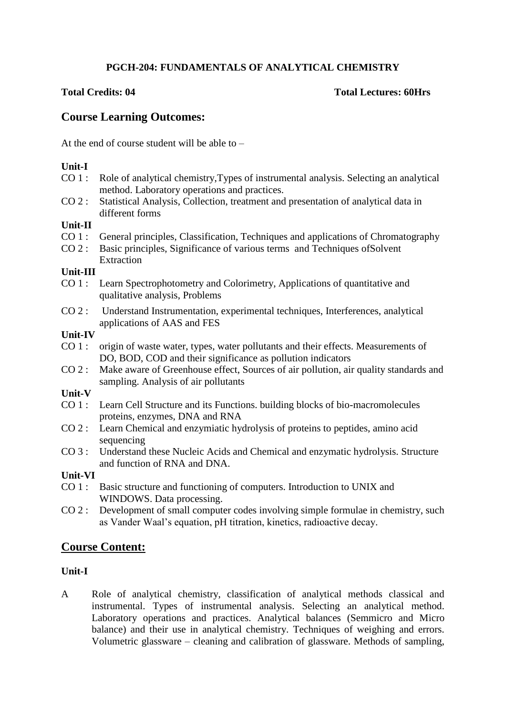## **PGCH-204: FUNDAMENTALS OF ANALYTICAL CHEMISTRY**

## **Total Credits: 04 Total Lectures: 60Hrs**

# **Course Learning Outcomes:**

At the end of course student will be able to –

## **Unit-I**

- CO 1 : Role of analytical chemistry,Types of instrumental analysis. Selecting an analytical method. Laboratory operations and practices.
- CO 2 : Statistical Analysis, Collection, treatment and presentation of analytical data in different forms

## **Unit-II**

- CO 1 : General principles, Classification, Techniques and applications of Chromatography
- CO 2 : Basic principles, Significance of various terms and Techniques ofSolvent **Extraction**

#### **Unit-III**

- CO 1 : Learn Spectrophotometry and Colorimetry, Applications of quantitative and qualitative analysis, Problems
- CO 2 : Understand Instrumentation, experimental techniques, Interferences, analytical applications of AAS and FES

## **Unit-IV**

- CO 1 : origin of waste water, types, water pollutants and their effects. Measurements of DO, BOD, COD and their significance as pollution indicators
- CO 2 : Make aware of Greenhouse effect, Sources of air pollution, air quality standards and sampling. Analysis of air pollutants

## **Unit-V**

- CO 1 : Learn Cell Structure and its Functions. building blocks of bio-macromolecules proteins, enzymes, DNA and RNA
- CO 2 : Learn Chemical and enzymiatic hydrolysis of proteins to peptides, amino acid sequencing
- CO 3 : Understand these Nucleic Acids and Chemical and enzymatic hydrolysis. Structure and function of RNA and DNA.

## **Unit-VI**

- CO 1 : Basic structure and functioning of computers. Introduction to UNIX and WINDOWS. Data processing.
- CO 2 : Development of small computer codes involving simple formulae in chemistry, such as Vander Waal's equation, pH titration, kinetics, radioactive decay.

# **Course Content:**

## **Unit-I**

A Role of analytical chemistry, classification of analytical methods classical and instrumental. Types of instrumental analysis. Selecting an analytical method. Laboratory operations and practices. Analytical balances (Semmicro and Micro balance) and their use in analytical chemistry. Techniques of weighing and errors. Volumetric glassware – cleaning and calibration of glassware. Methods of sampling,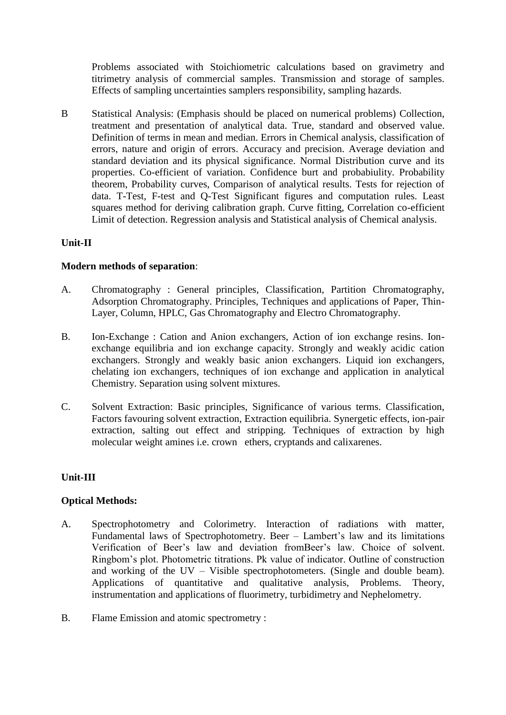Problems associated with Stoichiometric calculations based on gravimetry and titrimetry analysis of commercial samples. Transmission and storage of samples. Effects of sampling uncertainties samplers responsibility, sampling hazards.

B Statistical Analysis: (Emphasis should be placed on numerical problems) Collection, treatment and presentation of analytical data. True, standard and observed value. Definition of terms in mean and median. Errors in Chemical analysis, classification of errors, nature and origin of errors. Accuracy and precision. Average deviation and standard deviation and its physical significance. Normal Distribution curve and its properties. Co-efficient of variation. Confidence burt and probabiulity. Probability theorem, Probability curves, Comparison of analytical results. Tests for rejection of data. T-Test, F-test and Q-Test Significant figures and computation rules. Least squares method for deriving calibration graph. Curve fitting, Correlation co-efficient Limit of detection. Regression analysis and Statistical analysis of Chemical analysis.

## **Unit-II**

#### **Modern methods of separation**:

- A. Chromatography : General principles, Classification, Partition Chromatography, Adsorption Chromatography. Principles, Techniques and applications of Paper, Thin-Layer, Column, HPLC, Gas Chromatography and Electro Chromatography.
- B. Ion-Exchange : Cation and Anion exchangers, Action of ion exchange resins. Ionexchange equilibria and ion exchange capacity. Strongly and weakly acidic cation exchangers. Strongly and weakly basic anion exchangers. Liquid ion exchangers, chelating ion exchangers, techniques of ion exchange and application in analytical Chemistry. Separation using solvent mixtures.
- C. Solvent Extraction: Basic principles, Significance of various terms. Classification, Factors favouring solvent extraction, Extraction equilibria. Synergetic effects, ion-pair extraction, salting out effect and stripping. Techniques of extraction by high molecular weight amines i.e. crown ethers, cryptands and calixarenes.

## **Unit-III**

## **Optical Methods:**

- A. Spectrophotometry and Colorimetry. Interaction of radiations with matter, Fundamental laws of Spectrophotometry. Beer – Lambert's law and its limitations Verification of Beer's law and deviation fromBeer's law. Choice of solvent. Ringbom's plot. Photometric titrations. Pk value of indicator. Outline of construction and working of the UV – Visible spectrophotometers. (Single and double beam). Applications of quantitative and qualitative analysis, Problems. Theory, instrumentation and applications of fluorimetry, turbidimetry and Nephelometry.
- B. Flame Emission and atomic spectrometry :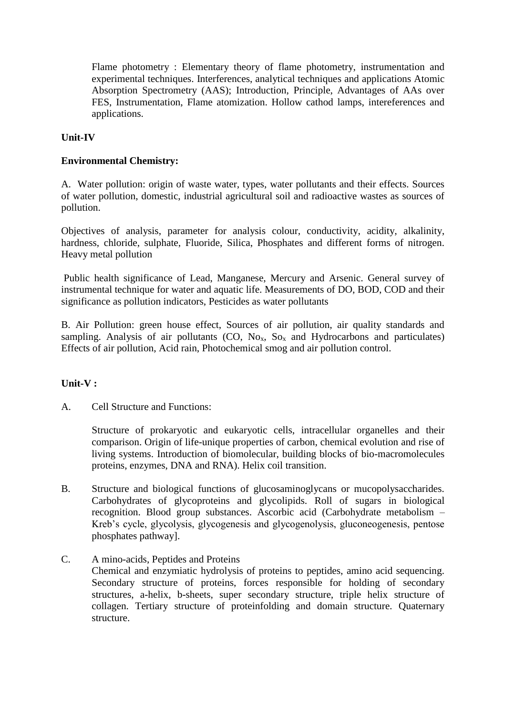Flame photometry : Elementary theory of flame photometry, instrumentation and experimental techniques. Interferences, analytical techniques and applications Atomic Absorption Spectrometry (AAS); Introduction, Principle, Advantages of AAs over FES, Instrumentation, Flame atomization. Hollow cathod lamps, intereferences and applications.

## **Unit-IV**

#### **Environmental Chemistry:**

A. Water pollution: origin of waste water, types, water pollutants and their effects. Sources of water pollution, domestic, industrial agricultural soil and radioactive wastes as sources of pollution.

Objectives of analysis, parameter for analysis colour, conductivity, acidity, alkalinity, hardness, chloride, sulphate, Fluoride, Silica, Phosphates and different forms of nitrogen. Heavy metal pollution

Public health significance of Lead, Manganese, Mercury and Arsenic. General survey of instrumental technique for water and aquatic life. Measurements of DO, BOD, COD and their significance as pollution indicators, Pesticides as water pollutants

B. Air Pollution: green house effect, Sources of air pollution, air quality standards and sampling. Analysis of air pollutants (CO,  $No<sub>x</sub>$ ,  $So<sub>x</sub>$  and Hydrocarbons and particulates) Effects of air pollution, Acid rain, Photochemical smog and air pollution control.

## **Unit-V :**

A. Cell Structure and Functions:

Structure of prokaryotic and eukaryotic cells, intracellular organelles and their comparison. Origin of life-unique properties of carbon, chemical evolution and rise of living systems. Introduction of biomolecular, building blocks of bio-macromolecules proteins, enzymes, DNA and RNA). Helix coil transition.

- B. Structure and biological functions of glucosaminoglycans or mucopolysaccharides. Carbohydrates of glycoproteins and glycolipids. Roll of sugars in biological recognition. Blood group substances. Ascorbic acid (Carbohydrate metabolism – Kreb's cycle, glycolysis, glycogenesis and glycogenolysis, gluconeogenesis, pentose phosphates pathway].
- C. A mino-acids, Peptides and Proteins Chemical and enzymiatic hydrolysis of proteins to peptides, amino acid sequencing. Secondary structure of proteins, forces responsible for holding of secondary structures, a-helix, b-sheets, super secondary structure, triple helix structure of collagen. Tertiary structure of proteinfolding and domain structure. Quaternary structure.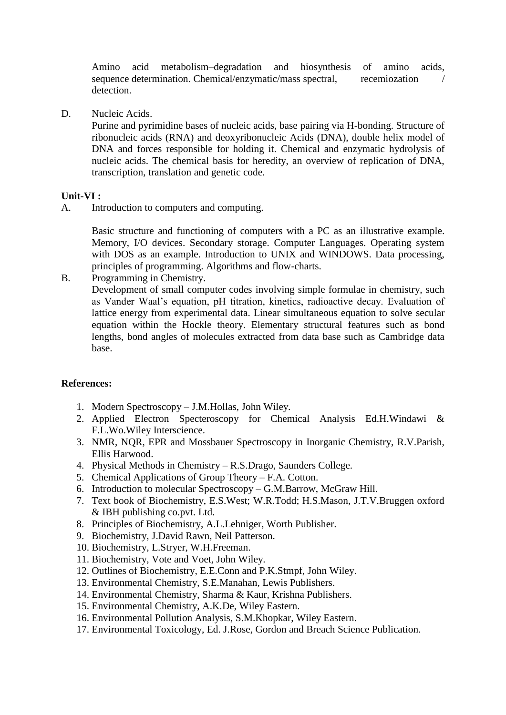Amino acid metabolism–degradation and hiosynthesis of amino acids, sequence determination. Chemical/enzymatic/mass spectral, recemiozation detection.

D. Nucleic Acids.

Purine and pyrimidine bases of nucleic acids, base pairing via H-bonding. Structure of ribonucleic acids (RNA) and deoxyribonucleic Acids (DNA), double helix model of DNA and forces responsible for holding it. Chemical and enzymatic hydrolysis of nucleic acids. The chemical basis for heredity, an overview of replication of DNA, transcription, translation and genetic code.

#### **Unit-VI :**

A. Introduction to computers and computing.

Basic structure and functioning of computers with a PC as an illustrative example. Memory, I/O devices. Secondary storage. Computer Languages. Operating system with DOS as an example. Introduction to UNIX and WINDOWS. Data processing, principles of programming. Algorithms and flow-charts.

B. Programming in Chemistry.

Development of small computer codes involving simple formulae in chemistry, such as Vander Waal's equation, pH titration, kinetics, radioactive decay. Evaluation of lattice energy from experimental data. Linear simultaneous equation to solve secular equation within the Hockle theory. Elementary structural features such as bond lengths, bond angles of molecules extracted from data base such as Cambridge data base.

## **References:**

- 1. Modern Spectroscopy J.M.Hollas, John Wiley.
- 2. Applied Electron Specteroscopy for Chemical Analysis Ed.H.Windawi & F.L.Wo.Wiley Interscience.
- 3. NMR, NQR, EPR and Mossbauer Spectroscopy in Inorganic Chemistry, R.V.Parish, Ellis Harwood.
- 4. Physical Methods in Chemistry R.S.Drago, Saunders College.
- 5. Chemical Applications of Group Theory F.A. Cotton.
- 6. Introduction to molecular Spectroscopy G.M.Barrow, McGraw Hill.
- 7. Text book of Biochemistry, E.S.West; W.R.Todd; H.S.Mason, J.T.V.Bruggen oxford & IBH publishing co.pvt. Ltd.
- 8. Principles of Biochemistry, A.L.Lehniger, Worth Publisher.
- 9. Biochemistry, J.David Rawn, Neil Patterson.
- 10. Biochemistry, L.Stryer, W.H.Freeman.
- 11. Biochemistry, Vote and Voet, John Wiley.
- 12. Outlines of Biochemistry, E.E.Conn and P.K.Stmpf, John Wiley.
- 13. Environmental Chemistry, S.E.Manahan, Lewis Publishers.
- 14. Environmental Chemistry, Sharma & Kaur, Krishna Publishers.
- 15. Environmental Chemistry, A.K.De, Wiley Eastern.
- 16. Environmental Pollution Analysis, S.M.Khopkar, Wiley Eastern.
- 17. Environmental Toxicology, Ed. J.Rose, Gordon and Breach Science Publication.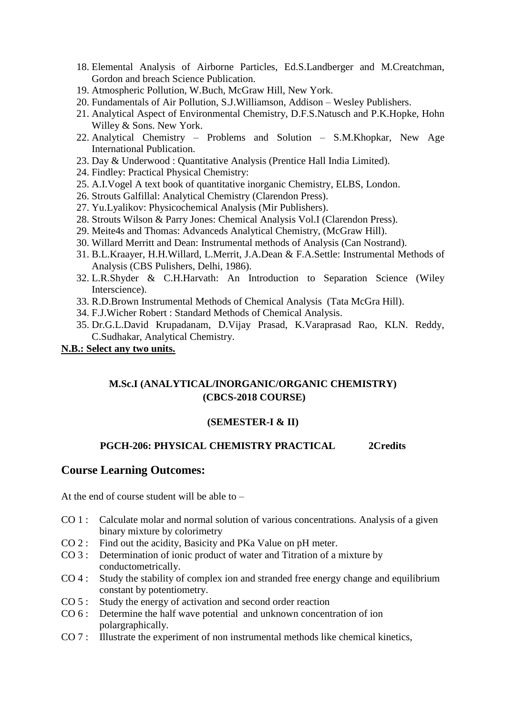- 18. Elemental Analysis of Airborne Particles, Ed.S.Landberger and M.Creatchman, Gordon and breach Science Publication.
- 19. Atmospheric Pollution, W.Buch, McGraw Hill, New York.
- 20. Fundamentals of Air Pollution, S.J.Williamson, Addison Wesley Publishers.
- 21. Analytical Aspect of Environmental Chemistry, D.F.S.Natusch and P.K.Hopke, Hohn Willey & Sons. New York.
- 22. Analytical Chemistry Problems and Solution S.M.Khopkar, New Age International Publication.
- 23. Day & Underwood : Quantitative Analysis (Prentice Hall India Limited).
- 24. Findley: Practical Physical Chemistry:
- 25. A.I.Vogel A text book of quantitative inorganic Chemistry, ELBS, London.
- 26. Strouts Galfillal: Analytical Chemistry (Clarendon Press).
- 27. Yu.Lyalikov: Physicochemical Analysis (Mir Publishers).
- 28. Strouts Wilson & Parry Jones: Chemical Analysis Vol.I (Clarendon Press).
- 29. Meite4s and Thomas: Advanceds Analytical Chemistry, (McGraw Hill).
- 30. Willard Merritt and Dean: Instrumental methods of Analysis (Can Nostrand).
- 31. B.L.Kraayer, H.H.Willard, L.Merrit, J.A.Dean & F.A.Settle: Instrumental Methods of Analysis (CBS Pulishers, Delhi, 1986).
- 32. L.R.Shyder & C.H.Harvath: An Introduction to Separation Science (Wiley Interscience).
- 33. R.D.Brown Instrumental Methods of Chemical Analysis (Tata McGra Hill).
- 34. F.J.Wicher Robert : Standard Methods of Chemical Analysis.
- 35. Dr.G.L.David Krupadanam, D.Vijay Prasad, K.Varaprasad Rao, KLN. Reddy, C.Sudhakar, Analytical Chemistry.

## **N.B.: Select any two units.**

# **M.Sc.I (ANALYTICAL/INORGANIC/ORGANIC CHEMISTRY) (CBCS-2018 COURSE)**

## **(SEMESTER-I & II)**

## **PGCH-206: PHYSICAL CHEMISTRY PRACTICAL 2Credits**

## **Course Learning Outcomes:**

At the end of course student will be able to –

- CO 1 : Calculate molar and normal solution of various concentrations. Analysis of a given binary mixture by colorimetry
- CO 2 : Find out the acidity, Basicity and PKa Value on pH meter.
- CO 3 : Determination of ionic product of water and Titration of a mixture by conductometrically.
- CO 4 : Study the stability of complex ion and stranded free energy change and equilibrium constant by potentiometry.
- CO 5 : Study the energy of activation and second order reaction
- CO 6 : Determine the half wave potential and unknown concentration of ion polargraphically.
- CO 7 : Illustrate the experiment of non instrumental methods like chemical kinetics,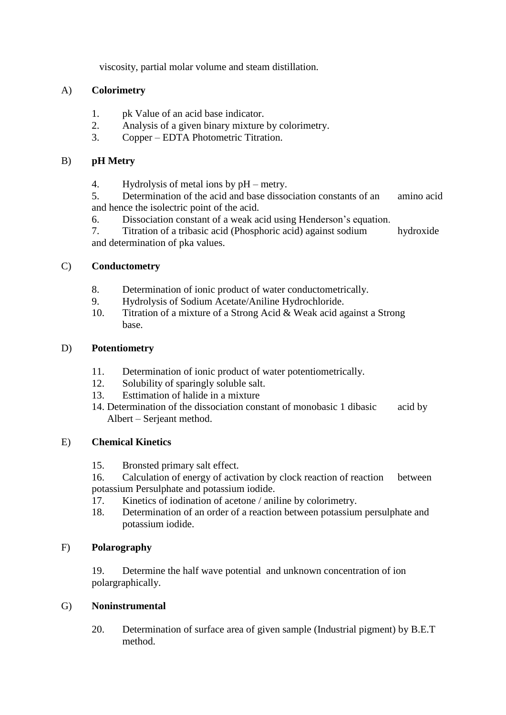viscosity, partial molar volume and steam distillation.

## A) **Colorimetry**

- 1. pk Value of an acid base indicator.
- 2. Analysis of a given binary mixture by colorimetry.
- 3. Copper EDTA Photometric Titration.

## B) **pH Metry**

4. Hydrolysis of metal ions by pH – metry.

5. Determination of the acid and base dissociation constants of an amino acid and hence the isolectric point of the acid.

6. Dissociation constant of a weak acid using Henderson's equation.

7. Titration of a tribasic acid (Phosphoric acid) against sodium hydroxide and determination of pka values.

## C) **Conductometry**

- 8. Determination of ionic product of water conductometrically.
- 9. Hydrolysis of Sodium Acetate/Aniline Hydrochloride.
- 10. Titration of a mixture of a Strong Acid & Weak acid against a Strong base.

## D) **Potentiometry**

- 11. Determination of ionic product of water potentiometrically.
- 12. Solubility of sparingly soluble salt.
- 13. Esttimation of halide in a mixture
- 14. Determination of the dissociation constant of monobasic 1 dibasic acid by Albert – Serjeant method.

## E) **Chemical Kinetics**

- 15. Bronsted primary salt effect.
- 16. Calculation of energy of activation by clock reaction of reaction between potassium Persulphate and potassium iodide.
- 17. Kinetics of iodination of acetone / aniline by colorimetry.
- 18. Determination of an order of a reaction between potassium persulphate and potassium iodide.

# F) **Polarography**

19. Determine the half wave potential and unknown concentration of ion polargraphically.

## G) **Noninstrumental**

20. Determination of surface area of given sample (Industrial pigment) by B.E.T method.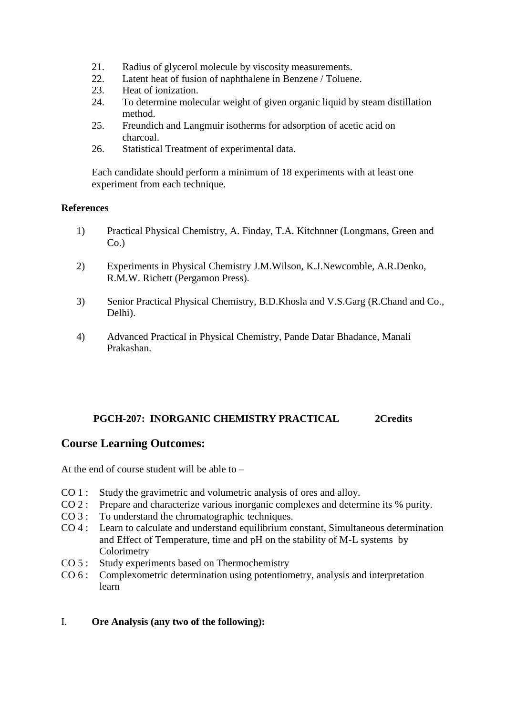- 21. Radius of glycerol molecule by viscosity measurements.
- 22. Latent heat of fusion of naphthalene in Benzene / Toluene.
- 23. Heat of ionization.
- 24. To determine molecular weight of given organic liquid by steam distillation method.
- 25. Freundich and Langmuir isotherms for adsorption of acetic acid on charcoal.
- 26. Statistical Treatment of experimental data.

Each candidate should perform a minimum of 18 experiments with at least one experiment from each technique.

#### **References**

- 1) Practical Physical Chemistry, A. Finday, T.A. Kitchnner (Longmans, Green and  $Co.$ )
- 2) Experiments in Physical Chemistry J.M.Wilson, K.J.Newcomble, A.R.Denko, R.M.W. Richett (Pergamon Press).
- 3) Senior Practical Physical Chemistry, B.D.Khosla and V.S.Garg (R.Chand and Co., Delhi).
- 4) Advanced Practical in Physical Chemistry, Pande Datar Bhadance, Manali Prakashan.

## **PGCH-207: INORGANIC CHEMISTRY PRACTICAL 2Credits**

## **Course Learning Outcomes:**

At the end of course student will be able to  $-$ 

- CO 1 : Study the gravimetric and volumetric analysis of ores and alloy.
- CO 2 : Prepare and characterize various inorganic complexes and determine its % purity.
- CO 3 : To understand the chromatographic techniques.
- CO 4 : Learn to calculate and understand equilibrium constant, Simultaneous determination and Effect of Temperature, time and pH on the stability of M-L systems by Colorimetry
- CO 5 : Study experiments based on Thermochemistry
- CO 6 : Complexometric determination using potentiometry, analysis and interpretation learn

## I. **Ore Analysis (any two of the following):**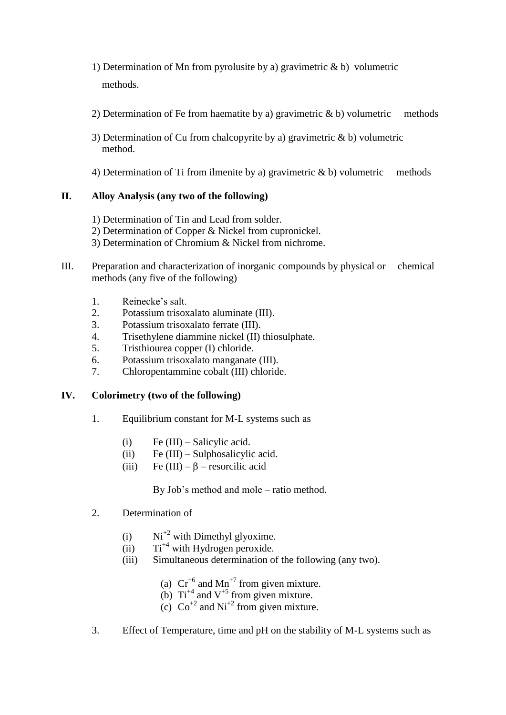- 1) Determination of Mn from pyrolusite by a) gravimetric  $\⊂> b$ ) volumetric methods.
- 2) Determination of Fe from haematite by a) gravimetric  $\& b$  by volumetric methods
- 3) Determination of Cu from chalcopyrite by a) gravimetric & b) volumetric method.
- 4) Determination of Ti from ilmenite by a) gravimetric & b) volumetric methods

## **II. Alloy Analysis (any two of the following)**

- 1) Determination of Tin and Lead from solder.
- 2) Determination of Copper & Nickel from cupronickel.
- 3) Determination of Chromium & Nickel from nichrome.
- III. Preparation and characterization of inorganic compounds by physical or chemical methods (any five of the following)
	- 1. Reinecke's salt.
	- 2. Potassium trisoxalato aluminate (III).
	- 3. Potassium trisoxalato ferrate (III).
	- 4. Trisethylene diammine nickel (II) thiosulphate.
	- 5. Tristhiourea copper (I) chloride.
	- 6. Potassium trisoxalato manganate (III).
	- 7. Chloropentammine cobalt (III) chloride.

## **IV. Colorimetry (two of the following)**

- 1. Equilibrium constant for M-L systems such as
	- (i) Fe  $(III)$  Salicylic acid.
	- (ii) Fe  $(III)$  Sulphosalicylic acid.
	- (iii) Fe  $(III) \beta$  resorcilic acid

By Job's method and mole – ratio method.

- 2. Determination of
	- (i)  $Ni^{+2}$  with Dimethyl glyoxime.
	- $(ii)$  Ti<sup>+4</sup> with Hydrogen peroxide.
	- (iii) Simultaneous determination of the following (any two).
		- (a)  $Cr^{+6}$  and Mn<sup>+7</sup> from given mixture.
		- (b)  $Ti^{+4}$  and  $V^{+5}$  from given mixture.
		- (c)  $\text{Co}^{+2}$  and  $\text{Ni}^{+2}$  from given mixture.
- 3. Effect of Temperature, time and pH on the stability of M-L systems such as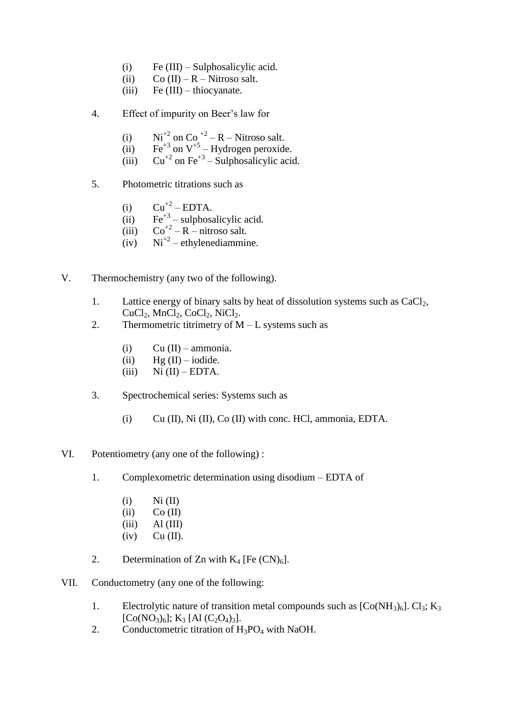- (i) Fe (III) Sulphosalicylic acid.
- (ii)  $Co (II) R Nitroso salt.$
- (iii) Fe  $(III)$  thiocyanate.
- 4. Effect of impurity on Beer's law for
	- (i)  $\text{Ni}^{+2}$  on Co<sup>+2</sup> R Nitroso salt.
	- (ii)  $\text{Fe}^{+3}$  on  $\text{V}^{+5}$  Hydrogen peroxide.
	- (iii)  $Cu^{+2}$  on Fe<sup>+3</sup> Sulphosalicylic acid.
- 5. Photometric titrations such as
	- (i)  $Cu^{+2} EDTA$ .
	- (ii)  $\text{Fe}^{+3}$  sulphosalicylic acid.
	- (iii)  $\text{Co}^{+2} \text{R}$  nitroso salt.
	- $(iv)$  Ni<sup>+2</sup> ethylenediammine.
- V. Thermochemistry (any two of the following).
	- 1. Lattice energy of binary salts by heat of dissolution systems such as  $CaCl<sub>2</sub>$ ,  $CuCl<sub>2</sub>, MnCl<sub>2</sub>, CoCl<sub>2</sub>, NiCl<sub>2</sub>.$
	- 2. Thermometric titrimetry of  $M L$  systems such as
		- (i)  $Cu (II) ammonia.$
		- (ii)  $Hg (II) iodide.$
		- (iii)  $Ni (II) EDTA$ .
	- 3. Spectrochemical series: Systems such as
		- (i) Cu (II), Ni (II), Co (II) with conc. HCl, ammonia, EDTA.
- VI. Potentiometry (any one of the following) :
	- 1. Complexometric determination using disodium EDTA of
		- $(i)$  Ni  $(II)$
		- $(iii)$  Co  $(II)$
		- $(iii)$  Al  $(III)$
		- $(iv)$  Cu  $(II)$ .
	- 2. Determination of Zn with  $K_4$  [Fe  $(CN)_6$ ].
- VII. Conductometry (any one of the following:
	- 1. Electrolytic nature of transition metal compounds such as  $[Co(NH<sub>3</sub>)<sub>6</sub>]$ . Cl<sub>3</sub>; K<sub>3</sub>  $[C_{0}(NO_{3})_{6}]$ ; K<sub>3</sub> [Al  $(C_{2}O_{4})_{3}$ ].
	- 2. Conductometric titration of  $H_3PO_4$  with NaOH.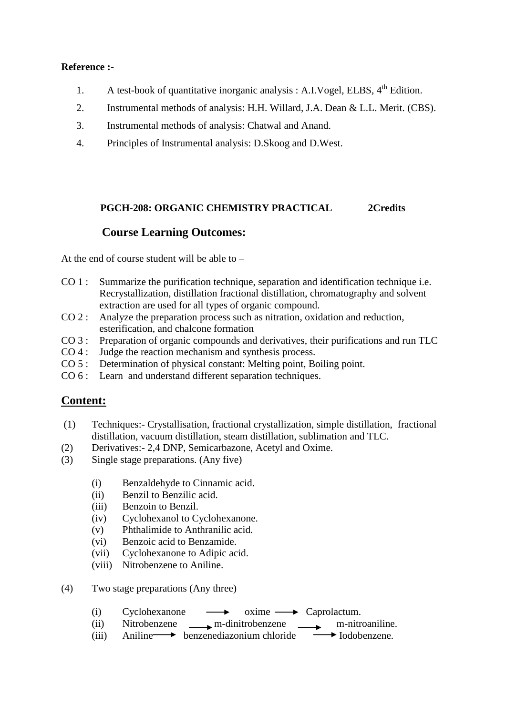#### **Reference :-**

- 1. A test-book of quantitative inorganic analysis : A.I.Vogel, ELBS,  $4<sup>th</sup>$  Edition.
- 2. Instrumental methods of analysis: H.H. Willard, J.A. Dean & L.L. Merit. (CBS).
- 3. Instrumental methods of analysis: Chatwal and Anand.
- 4. Principles of Instrumental analysis: D.Skoog and D.West.

#### **PGCH-208: ORGANIC CHEMISTRY PRACTICAL 2Credits**

## **Course Learning Outcomes:**

At the end of course student will be able to –

- CO 1 : Summarize the purification technique, separation and identification technique i.e. Recrystallization, distillation fractional distillation, chromatography and solvent extraction are used for all types of organic compound.
- CO 2 : Analyze the preparation process such as nitration, oxidation and reduction, esterification, and chalcone formation
- CO 3 : Preparation of organic compounds and derivatives, their purifications and run TLC
- CO 4 : Judge the reaction mechanism and synthesis process.
- CO 5 : Determination of physical constant: Melting point, Boiling point.
- CO 6 : Learn and understand different separation techniques.

# **Content:**

- (1) Techniques:- Crystallisation, fractional crystallization, simple distillation, fractional distillation, vacuum distillation, steam distillation, sublimation and TLC.
- (2) Derivatives:- 2,4 DNP, Semicarbazone, Acetyl and Oxime.
- (3) Single stage preparations. (Any five)
	- (i) Benzaldehyde to Cinnamic acid.
	- (ii) Benzil to Benzilic acid.
	- (iii) Benzoin to Benzil.
	- (iv) Cyclohexanol to Cyclohexanone.
	- (v) Phthalimide to Anthranilic acid.
	- (vi) Benzoic acid to Benzamide.
	- (vii) Cyclohexanone to Adipic acid.
	- (viii) Nitrobenzene to Aniline.
- (4) Two stage preparations (Any three)
	- (i) Cyclohexanone  $\longrightarrow$  oxime  $\longrightarrow$  Caprolactum.
	- (ii) Nitrobenzene m-dinitrobenzene m-nitroaniline.
	- (iii) Aniline benzenediazonium chloride  $\rightarrow$  Iodobenzene.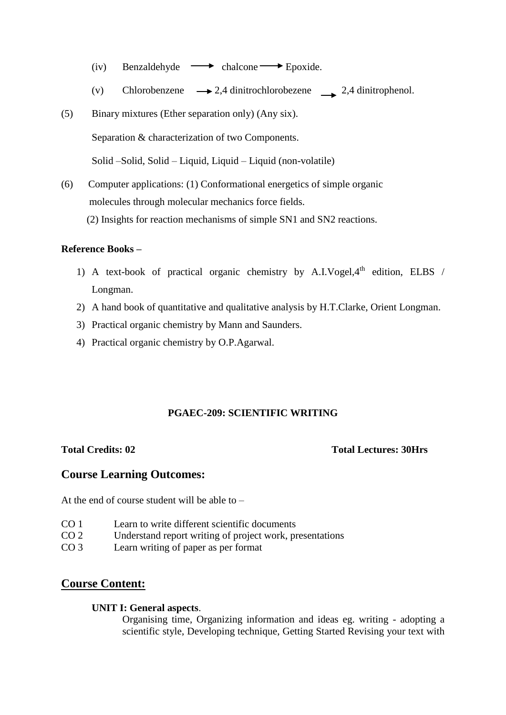- (iv) Benzaldehyde  $\longrightarrow$  chalcone  $\longrightarrow$  Epoxide.
- (v) Chlorobenzene  $\rightarrow 2,4$  dinitrochlorobezene 2,4 dinitrophenol.
- (5) Binary mixtures (Ether separation only) (Any six).

Separation & characterization of two Components.

Solid –Solid, Solid – Liquid, Liquid – Liquid (non-volatile)

(6) Computer applications: (1) Conformational energetics of simple organic molecules through molecular mechanics force fields.

(2) Insights for reaction mechanisms of simple SN1 and SN2 reactions.

#### **Reference Books –**

- 1) A text-book of practical organic chemistry by A.I.Vogel, $4<sup>th</sup>$  edition, ELBS / Longman.
- 2) A hand book of quantitative and qualitative analysis by H.T.Clarke, Orient Longman.
- 3) Practical organic chemistry by Mann and Saunders.
- 4) Practical organic chemistry by O.P.Agarwal.

#### **PGAEC-209: SCIENTIFIC WRITING**

**Total Credits: 02 Total Lectures: 30Hrs**

## **Course Learning Outcomes:**

At the end of course student will be able to  $-$ 

- CO 1 Learn to write different scientific documents
- CO 2 Understand report writing of project work, presentations
- CO 3 Learn writing of paper as per format

# **Course Content:**

#### **UNIT I: General aspects**.

Organising time, Organizing information and ideas eg. writing - adopting a scientific style, Developing technique, Getting Started Revising your text with